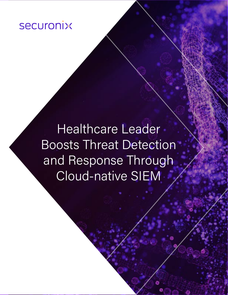# **securonix**

Healthcare Leader Boosts Threat Detection and Response Through Cloud-native SIEM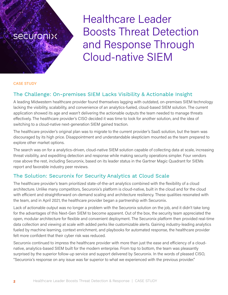## **Securonix**

Healthcare Leader Boosts Threat Detection and Response Through Cloud-native SIEM

#### CASE STUDY

## The Challenge: On-premises SIEM Lacks Visibility & Actionable Insight

A leading Midwestern healthcare provider found themselves lagging with outdated, on-premises SIEM technology lacking the visibility, scalability, and convenience of an analytics-fueled, cloud-based SIEM solution. The current application showed its age and wasn't delivering the actionable outputs the team needed to manage threats effectively. The healthcare provider's CISO decided it was time to look for another solution, and the idea of switching to a cloud-native next-generation SIEM gained traction.

The healthcare provider's original plan was to migrate to the current provider's SaaS solution, but the team was discouraged by its high price. Disappointment and understandable skepticism mounted as the team prepared to explore other market options.

The search was on for a analytics-driven, cloud-native SIEM solution capable of collecting data at scale, increasing threat visibility, and expediting detection and response while making security operations simpler. Four vendors rose above the rest, including Securonix, based on its leader status in the Gartner Magic Quadrant for SIEMs report and favorable industry peer reviews.

## The Solution: Securonix for Security Analytics at Cloud Scale

The healthcare provider's team prioritized state-of-the-art analytics combined with the flexibility of a cloud architecture. Unlike many competitors, Securonix's platform is cloud-native, built in the cloud and for the cloud with efficient and straightforward on-demand scaling and architecture resiliency. These qualities resonated with the team, and in April 2021, the healthcare provider began a partnership with Securonix.

Lack of actionable output was no longer a problem with the Securonix solution on the job, and it didn't take long for the advantages of this Next-Gen SIEM to become apparent. Out of the box, the security team appreciated the open, modular architecture for flexible and convenient deployment. The Securonix platform then provided real-time data collection and viewing at scale with added perks like customizable alerts. Gaining industry-leading analytics fueled by machine learning, context enrichment, and playbooks for automated response, the healthcare provider felt more confident that their cyber risk was reduced.

Securonix continued to impress the healthcare provider with more than just the ease and efficiency of a cloudnative, analytics-based SIEM built for the modern enterprise. From top to bottom, the team was pleasantly surprised by the superior follow-up service and support delivered by Securonix. In the words of pleased CISO, "Securonix's response on any issue was far superior to what we experienced with the previous provider."